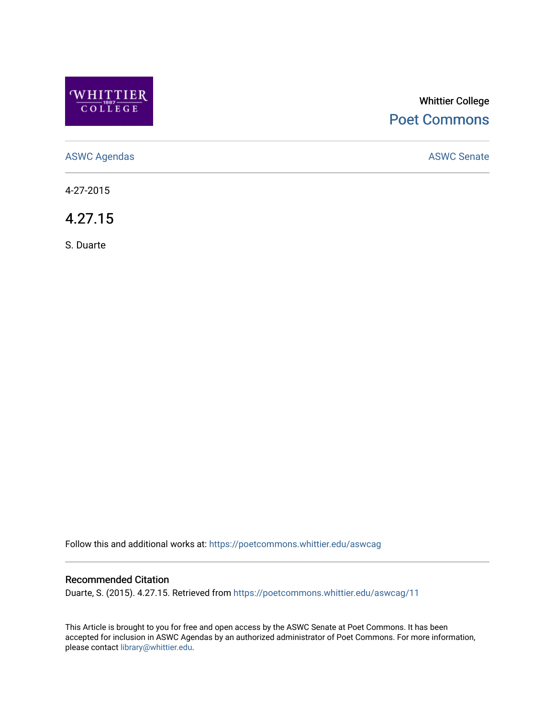

## Whittier College [Poet Commons](https://poetcommons.whittier.edu/)

[ASWC Agendas](https://poetcommons.whittier.edu/aswcag) **ASWC Senate** 

4-27-2015

4.27.15

S. Duarte

Follow this and additional works at: [https://poetcommons.whittier.edu/aswcag](https://poetcommons.whittier.edu/aswcag?utm_source=poetcommons.whittier.edu%2Faswcag%2F11&utm_medium=PDF&utm_campaign=PDFCoverPages) 

### Recommended Citation

Duarte, S. (2015). 4.27.15. Retrieved from [https://poetcommons.whittier.edu/aswcag/11](https://poetcommons.whittier.edu/aswcag/11?utm_source=poetcommons.whittier.edu%2Faswcag%2F11&utm_medium=PDF&utm_campaign=PDFCoverPages) 

This Article is brought to you for free and open access by the ASWC Senate at Poet Commons. It has been accepted for inclusion in ASWC Agendas by an authorized administrator of Poet Commons. For more information, please contact [library@whittier.edu](mailto:library@whittier.edu).